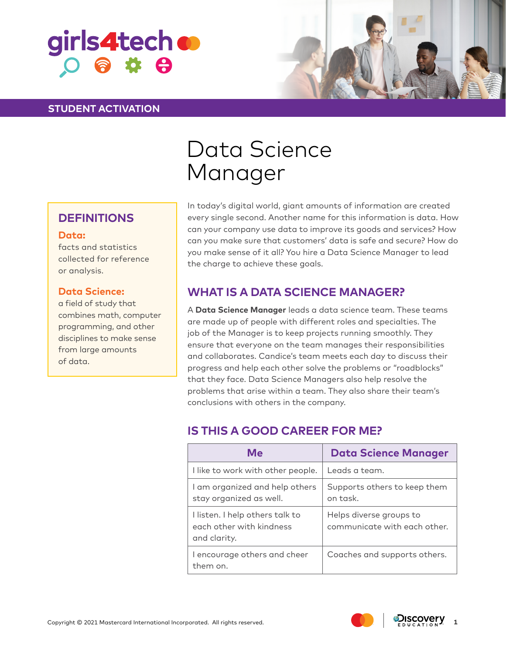

### **STUDENT ACTIVATION**



# Data Science Manager

### **DEFINITIONS**

#### **Data:**

facts and statistics collected for reference or analysis.

### **Data Science:**

a field of study that combines math, computer programming, and other disciplines to make sense from large amounts of data.

In today's digital world, giant amounts of information are created every single second. Another name for this information is data. How can your company use data to improve its goods and services? How can you make sure that customers' data is safe and secure? How do you make sense of it all? You hire a Data Science Manager to lead the charge to achieve these goals.

## **WHAT IS A DATA SCIENCE MANAGER?**

A **Data Science Manager** leads a data science team. These teams are made up of people with different roles and specialties. The job of the Manager is to keep projects running smoothly. They ensure that everyone on the team manages their responsibilities and collaborates. Candice's team meets each day to discuss their progress and help each other solve the problems or "roadblocks" that they face. Data Science Managers also help resolve the problems that arise within a team. They also share their team's conclusions with others in the company.

# **IS THIS A GOOD CAREER FOR ME?**

| Me                                                                          | <b>Data Science Manager</b>                             |
|-----------------------------------------------------------------------------|---------------------------------------------------------|
| I like to work with other people.                                           | Leads a team.                                           |
| I am organized and help others<br>stay organized as well.                   | Supports others to keep them<br>on task.                |
| I listen. I help others talk to<br>each other with kindness<br>and clarity. | Helps diverse groups to<br>communicate with each other. |
| I encourage others and cheer<br>them on.                                    | Coaches and supports others.                            |



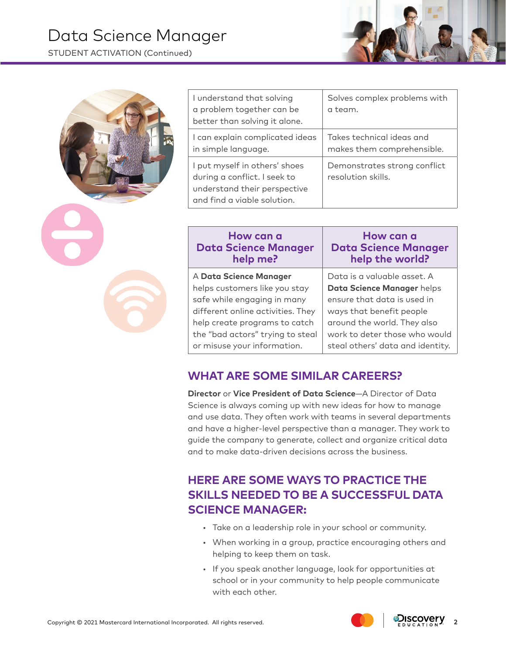# Data Science Manager

STUDENT ACTIVATION (Continued)

| I understand that solving<br>a problem together can be<br>better than solving it alone.                                      | Solves complex problems with<br>a team.                 |
|------------------------------------------------------------------------------------------------------------------------------|---------------------------------------------------------|
| I can explain complicated ideas<br>in simple language.                                                                       | Takes technical ideas and<br>makes them comprehensible. |
| I put myself in others' shoes<br>during a conflict. I seek to<br>understand their perspective<br>and find a viable solution. | Demonstrates strong conflict<br>resolution skills.      |

| Data is a valuable asset. A<br>A Data Science Manager<br>helps customers like you stay<br>Data Science Manager helps<br>safe while engaging in many<br>ensure that data is used in<br>different online activities. They<br>ways that benefit people<br>around the world. They also<br>help create programs to catch<br>the "bad actors" trying to steal | How can a<br><b>Data Science Manager</b><br>help me? | How can a<br><b>Data Science Manager</b><br>help the world? |
|---------------------------------------------------------------------------------------------------------------------------------------------------------------------------------------------------------------------------------------------------------------------------------------------------------------------------------------------------------|------------------------------------------------------|-------------------------------------------------------------|
|                                                                                                                                                                                                                                                                                                                                                         | or misuse your information.                          | work to deter those who would                               |
|                                                                                                                                                                                                                                                                                                                                                         |                                                      | steal others' data and identity.                            |

## **WHAT ARE SOME SIMILAR CAREERS?**

**Director** or **Vice President of Data Science**—A Director of Data Science is always coming up with new ideas for how to manage and use data. They often work with teams in several departments and have a higher-level perspective than a manager. They work to guide the company to generate, collect and organize critical data and to make data-driven decisions across the business.

# **HERE ARE SOME WAYS TO PRACTICE THE SKILLS NEEDED TO BE A SUCCESSFUL DATA SCIENCE MANAGER:**

- Take on a leadership role in your school or community.
- When working in a group, practice encouraging others and helping to keep them on task.
- If you speak another language, look for opportunities at school or in your community to help people communicate with each other.